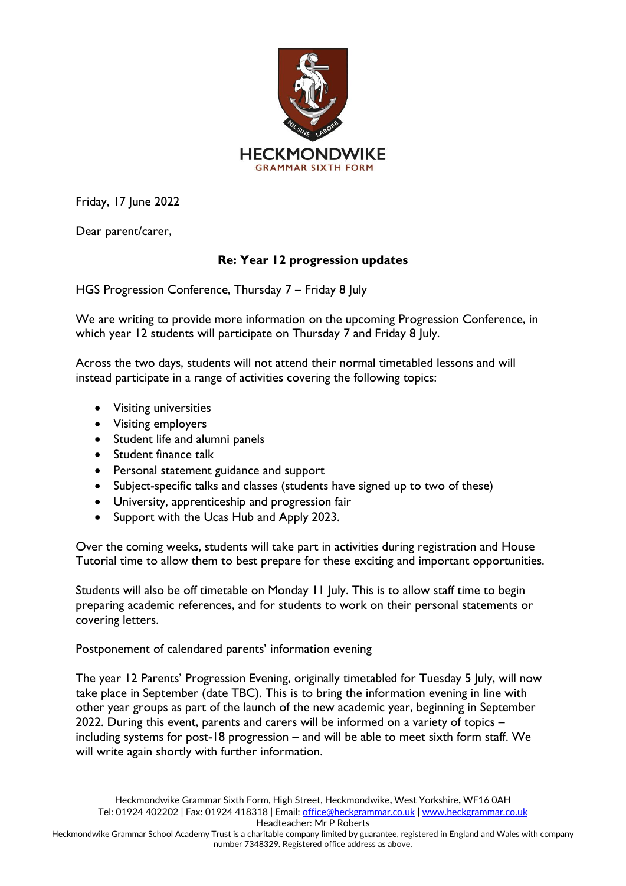

Friday, 17 June 2022

Dear parent/carer,

## **Re: Year 12 progression updates**

HGS Progression Conference, Thursday 7 – Friday 8 July

We are writing to provide more information on the upcoming Progression Conference, in which year 12 students will participate on Thursday 7 and Friday 8 July.

Across the two days, students will not attend their normal timetabled lessons and will instead participate in a range of activities covering the following topics:

- Visiting universities
- Visiting employers
- Student life and alumni panels
- Student finance talk
- Personal statement guidance and support
- Subject-specific talks and classes (students have signed up to two of these)
- University, apprenticeship and progression fair
- Support with the Ucas Hub and Apply 2023.

Over the coming weeks, students will take part in activities during registration and House Tutorial time to allow them to best prepare for these exciting and important opportunities.

Students will also be off timetable on Monday 11 July. This is to allow staff time to begin preparing academic references, and for students to work on their personal statements or covering letters.

## Postponement of calendared parents' information evening

The year 12 Parents' Progression Evening, originally timetabled for Tuesday 5 July, will now take place in September (date TBC). This is to bring the information evening in line with other year groups as part of the launch of the new academic year, beginning in September 2022. During this event, parents and carers will be informed on a variety of topics – including systems for post-18 progression – and will be able to meet sixth form staff. We will write again shortly with further information.

Headteacher: Mr P Roberts

Heckmondwike Grammar School Academy Trust is a charitable company limited by guarantee, registered in England and Wales with company number 7348329. Registered office address as above.